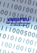# **VMB8PBU**

**Push button interface module for VELBUS system** 

 **1999 Protocol 2**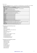Binairy format:

 <SOF-SID10...SID0-RTR-IDE-r0-DLC3...0-DATABYTE1...DATABYTEn-CRC15...CRC1-CRCDEL-ACK-ACKDEL-EOF7...EOF1-IFS3...IFS1>

| <b>bits</b>      | <b>Description</b>                                             |
|------------------|----------------------------------------------------------------|
| <b>SOF</b>       | Start Of Frame (always 0)                                      |
| SID10 & SID9     | Priority (00: highest  11: lowest priority)                    |
| SID8SID1         | <b>Address</b>                                                 |
| SID <sub>0</sub> | Always 0                                                       |
| <b>RTR</b>       | <b>Remote Transmit Request</b>                                 |
| <b>IDE</b>       | Identifier Extension (always 0)                                |
| r <sub>0</sub>   | reserved (always 0)                                            |
| DLC3DLC0         | Data Length Code (08)                                          |
| Databyte1        | Command                                                        |
| Databyte2        | Parameter                                                      |
| Databyte3        | Parameter                                                      |
| Databyte4        | Parameter                                                      |
| Databyte5        | Parameter                                                      |
| Databyte6        | Parameter                                                      |
| Databyte7        | Parameter                                                      |
| Databyte8        | Parameter                                                      |
| CRC15CRC1        | Cyclic Redundancy Checksum                                     |
| <b>CRCDEL</b>    | CRC Delimiter (always 1)                                       |
| <b>ACK</b>       | Acknowledge slot (transmit 1 readback 0 if received correctly) |
| <b>ACKDEL</b>    | Acknowledge Delimiter (always 1)                               |
| EOF7EOF1         | End Of Frame (always 1111111)                                  |
| IFS3IFS1         | InterFrame Space (always 111)                                  |

### *The module can transmit the following messages:*

- Channel status
- Module status
- Module type
- Bus error counter status
- First, second and third part of the channel names
- Memory data
- Memory data block (4 bytes)
- Real-time clock status
- Date status
- Daylight savings status (Build1235 or higher)
- Real-time clock status request
- Clear linked push button led
- Set linked push button led
- Slow blink linked push button led
- Fast blink linked push button led

# *The module can receive the following commands:*

- Linked push button status
- Module type request
- Module status request
- Channel name request
- Clear channel led
- Set channel led
- Slow blink channel led
- Fast blink channel led
- Very fast channel led
- Update channel leds
- Read memory data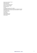- Read memory data block (4 bytes)
- Memory dump request
- Write memory data
- Write memory data block (4 bytes)
- Bus error counter status request
- Real-time clock status request
- Set real-time clock
- Set date
- Set daylight savings (Build 1235 or higher)
- Enable/disable global sunrise/sunset related actions (Build1235 or higher)
- Enable/disable local sunrise/sunset related actions (Build1235 or higher)
- Set local alarm clock
- Set global alarm clock
- Lock channel
- Unlock channel
- Disable channel program
- Enable channel program
- Select program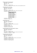*Transmits real time clock status request:*   $SID10-SID9 = 11$  (lowest priority)  $SID8...SID1 = H'00'$  $RTR = 0$  $DLC3...DLC0 = 1$  databyte to send DATABYTE1 = COMMAND\_REALTIME\_CLOCK\_STATUS\_REQUEST (H'D7')

# *Transmits the real time clock status:*

 $SID10-SID9 = 11$  (lowest priority) SID8...SID1 = Module address  $RTR = 0$  $DLC3...DLC0 = 4$  databytes to send

DATABYTE1 = COMMAND\_REALTIME\_CLOCK\_STATUS (H'D8')

DATABYTE2 = Day

| Contents | Day       |
|----------|-----------|
|          | Monday    |
|          | Tuesday   |
| 2        | Wednesday |
| 3        | Thursday  |
|          | Friday    |
|          | Saturday  |
| h        | Sunday    |

 $DATABYTE3 = \overline{Hour (0...23)}$  $DATABYTE4 = Minute (0...59)$ 

*Transmits the date status:* 

 $SID10-SID9 = 11$  (lowest priority) SID8...SID1 = Module address  $RTR = 0$ DLC3...DLC0 = 5 databytes to send DATABYTE1 = COMMAND\_DATE\_STATUS (H'B7')  $DATABYTE2 = Day (1...31)$  $DATABYTE3 = Month(1...12)$ DATABYTE4 = High byte of Year DATABYTE5 = Low byte of Year

# *Transmits the daylight savings status (Build1235 or higher):*

 $SID10-SID9 = 11$  (lowest priority) SID8...SID1 = Module address  $RTR = 0$ DLC3...DLC0 = 2 databytes to send DATABYTE1 = COMMAND\_DAYLIGHT\_SAVING\_STATUS (H'AF') DATABYTE2 = 0 = disabled  $\overline{1}$  = enabled

# *Transmits the channel switch status:*

 $SID10-SID9 = 00$  (highest priority)  $SID8...SID1 = Module address$  $RTR = 0$  $DLC3...DLC0 = 4$  databytes to send DATABYTE1 = COMMAND\_PUSH\_BUTTON\_STATUS (H'00') DATABYTE2 = Channel just pressed DATABYTE3 = Channel just released DATABYTE4 = Channel long pressed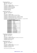*Transmits the module type:*   $SID10-SID9 = 11$  (lowest priority) SID8...SID1 = Module address  $RTR = 0$  $DLC3...DLC0 = 7$  databytes to send DATABYTE1 = COMMAND\_MODULE\_TYPE (H'FF') DATABYTE2 = VMB8PBU type (H'16') DATABYTE3 = High byte of serial number DATABYTE4 = Low byte of serial number DATABYTE5 = Memorymap version DATABYTE6 = Build year

DATABYTE7 = Build week

### *Transmits the module status:*

 $SID10-SID9 = 11$  (lowest priority)

SID8...SID1 = Module address

 $RTR = 0$ 

DLC3...DLC0 = 5 databytes to send

DATABYTE1 = COMMAND\_MODULE\_STATUS (H'ED')

DATABYTE2 = channel 1 to 8 status (1 = pressed  $/ 0$  = released)

DATABYTE3 = enabled/disable channel status  $(1 =$  enabled  $/ 0 =$  disabled)

DATABYTE4 = normal/inverted channel status  $(1 = normal / 0 = inverted)$ 

DATABYTE5 = locked channel status  $(0 = \text{unlocked } / 1 = \text{locked})$ 

DATABYTE6 = disabled channel program status  $(0 = p \cdot \text{logram} \cdot \text{enabled} / 1 = \text{program} \cdot \text{disabled})$ 

 $DATABYTE7 = alarm & program selection$ 

| <b>Contents</b>       | <b>Selected programl</b> |
|-----------------------|--------------------------|
| B'xxxxxx00'           | None                     |
| B'xxxxxx01'           | Summer                   |
| B'xxxxx10'            | Winter                   |
| B'xxxxx11'            | Holiday                  |
| B'xxxxx0xx'           | Alarm 1 off              |
| B'xxxxx1xx'           | Alarm 1 on               |
| B'xxxx0xxx'           | Local alarm 1            |
| B'xxxx1xxx'           | Global alarm 1           |
| B'xxx0xxxx'           | Alarm 2 off              |
| $B'$ xxx $1$ xxx $x'$ | Alarm 2 on               |
| B'xx0xxxxx'           | Local alarm 2            |
| B'xx1xxxxx'           | Global alarm 2           |
| B'x0xxxxxx'           | Sunrise disabled         |
| B'x1xxxxxx'           | Sunrise enabled          |
| B'OXXXXXXX'           | Sunset disabled          |
| B'1xxxxxx'            | Sunset enabled           |

### *Transmit: Bus error counter status*

 $SID10-SID9 = 11$  (lowest priority) SID8...SID1 = Module address  $RTR = 0$  $DLC3...DLC0 = 4$  databytes to send DATABYTE1 = COMMAND\_BUSERROR\_COUNTER\_STATUS (H'DA') DATABYTE2 = Transmit error counter DATABYTE3 = Receive error counter DATABYTE4 = Bus off counter

### *Transmits the memory data:*

 $SID10-SID9 = 11$  (lowest priority) SID8...SID1 = Module address  $RTR = 0$  $DLC3...DLC0 = 4$  databytes to send DATABYTE1 = COMMAND\_MEMORY\_DATA (H'FE') DATABYTE2 = High memory address DATABYTE3 = LOW memory address DATABYTE4 = memory data

Remark: address range: H'0000' to H'03FF'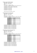*Transmits memory data block (4 bytes):*  $SID10-SID9 = 11$  (lowest priority) SID8...SID1 = Module address  $RTR = 0$ DLC3...DLC0 = 7 databytes to send DATABYTE1 = COMMAND\_MEMORY\_DATA\_BLOCK (H'CC') DATABYTE2 = High start address of memory block DATABYTE3 = LOW start address of memory block DATABYTE4 = memory data1 DATABYTE5 = memory data2 DATABYTE6 = memory data3 DATABYTE7 = memory data4

Remark: address range: H'0000' to H'03FC'

# *Transmits the first part of channel name:*

 $SID10-SID9 = 11$  (lowest priority) SID8...SID1 = Module address  $RTR = 0$ DLC3...DLC0 = 8 databytes to send DATABYTE1 = COMMAND\_CHANNEL\_NAME\_PART1 (H'F0') DATABYTE2 = channel bit

| <b>Contents</b> | <b>Channel</b> |
|-----------------|----------------|
| B'00000001'     | channel 1      |
| B'00000010'     | channel 2      |
| B'00000100'     | channel 3      |
| B'00001000'     | channel 4      |
| B'00010000'     | channel 5      |
| B'00100000'     | channel 6      |
| B'01000000'     | channel 7      |
| B'10000000'     | channel 8      |

 $DATABYTE3 = Character 1 of the channel name$ DATABYTE4 = Character 2 of the channel name DATABYTE5 = Character 3 of the channel name DATABYTE6 = Character 4 of the channel name DATABYTE7 = Character 5 of the channel name DATABYTE8 = Character 6 of the channel name

### *Transmits the second part of the channel name:*

 $SID10-SID9 = 11$  (lowest priority)

 $SID8...SID1 = Module address$ 

 $RTR = 0$ 

DLC3...DLC0 = 8 databytes to send DATABYTE1 = COMMAND\_CHANNEL\_NAME\_PART2 (H'F1') DATABYTE2 = Channel bit

| <b>Contents</b> | <b>Channel</b> |
|-----------------|----------------|
| B'00000001'     | channel 1      |
| B'00000010'     | channel 2      |
| B'00000100'     | channel 3      |
| B'00001000'     | channel 4      |
| B'00010000'     | channel 5      |
| B'00100000'     | channel 6      |
| B'01000000'     | channel 7      |
| B'10000000'     | channel 8      |

DATABYTE3 = Character 7 of the channel name

DATABYTE4 = Character 8 of the channel name

DATABYTE5 = Character 9 of the channel name

DATABYTE6 = Character 10 of the channel name

DATABYTE7 = Character 11 of the channel name

DATABYTE8 = Character 12 of the channel name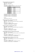*Transmits the third part of the channel name:*   $SID10-SID9 = 11$  (lowest priority) SID8...SID1 = Module address  $RTR = 0$ DLC3...DLC0 = 6 databytes to send DATABYTE1 = COMMAND\_CHANNEL\_NAME\_PART3 (H'F2') DATABYTE2 = channel bit

| <b>Contents</b> | <b>Channel</b> |
|-----------------|----------------|
| B'00000001'     | channel 1      |
| B'00000010'     | channel 2      |
| B'00000100'     | channel 3      |
| B'00001000'     | channel 4      |
| B'00010000'     | channel 5      |
| B'00100000'     | channel 6      |
| B'01000000'     | channel 7      |
| B'10000000'     | channel 8      |

DATABYTE3 = Character 13 of the channel name DATABYTE4 = Character 14 of the channel name DATABYTE5 = Character 15 of the channel name DATABYTE6 = Character 16 of the channel name

Remarks:

Unused characters contain H'FF'.

### *Transmit: Clears LEDs on a linked push button module:*

 $SID10-SID9 = 11$  (lowest priority)  $SID8...SID1 = Address of the linked push button module for clearing LEDs$  $RTR = 0$  $DLC3...DLC0 = 2$  databytes to send DATABYTE1 = COMMAND\_CLEAR\_LED (H'F5')  $DATABYTE2 = LED bit numbers (1 = clear LED)$ 

### *Transmit: Sets LEDs on a linked push button module:*

 $SID10-SID9 = 11$  (lowest priority)  $SID8...SID1 = Address of the linked push button module for setting LEDs on$  $RTR = 0$  $DLC3...DLC0 = 2$  databytes to send  $DATABYTE1 = COMMAND SET LED (H'F6')$  $DATABYTE2 = LED bit numbers (1 = set LED)$ 

# *Transmit: Blinks LEDs slowly on a linked push button module:*

 $SID10-SID9 = 11$  (lowest priority) SID8...SID1 = Address of the linked push button module for slowly blinking LEDs  $RTR = 0$ DLC3...DLC0 = 2 databytes to send DATABYTE1 = COMMAND\_SLOW\_BLINKING\_LED (H'F7')  $DATABYTE2 = LED bit numbers (1 = slow blink LED)$ 

# *Transmit: Blinks LEDs fast on a linked push button module:*

 $SID10-SID9 = 11$  (lowest priority) SID8...SID1 = Address of the linked push button module for fast blinking LEDs  $RTR = 0$ DLC3...DLC0 = 2 databytes to send DATABYTE1 = COMMAND\_FAST\_BLINKING\_LED (H'F8')  $DATABYTE2 = LED bit numbers (1 = fast blink LED)$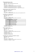# *'Linked push button status' received:*

 $SID10-SID9 = 00$  (highest priority)  $SID8...SID1 = Address of the linked push button module$  $RTR = 0$ DLC3...DLC0 = 4 databytes received DATABYTE1 = COMMAND\_PUSH\_BUTTON\_STATUS (H'00')  $DATABYTE2 = Linked push buttons just pressed (1 = just pressed)$  $DATABYTE3 = Linked push buttons just released (1 = just released)$  $DATABYTE4 = linked push buttons long pressed (1 = longer than 0.85s pressed)$ 

# *'Real time clock status request' command received:*

 $SID10-SID9 = 11$  (lowest priority) SID8...SID1 = Module address  $RTR = 0$  $DLC3...DLC0 = 1$  databyte to send DATABYTE1 = COMMAND\_REALTIME\_CLOCK\_STATUS\_REQUEST (H'D7')

### *'Set real time clock' command received:*

 $SID10-SID9 = 11$  (lowest priority)  $SID8...SID1 = H'00'$  $RTR = 0$  $DLC3...DLC0 = 4$  databytes to send DATABYTE1 = COMMAND\_SET\_REALTIME\_CLOCK (H'D8') DATABYTE2 = Day of week

| Contents day of week' | <b>Description</b> |
|-----------------------|--------------------|
| H'00'                 | Monday             |
| H'01'                 | Tuesday            |
| H'02'                 | Wednesday          |
| H'03'                 | Thursday           |
| H'04'                 | Friday             |
| H'05'                 | Saterday           |
| H'06'                 | Sunday             |

 $DATABYTE3 = Hours (0...23)$  $DATABYTE4 =$  Minutes  $(0...59)$ 

# *'Set date' command received:*

 $SID10-SID9 = 11$  (lowest priority)  $SID8...SID1 = H'00'$  $RTR = 0$  $DLC3...DLC0 = 5$  databytes to send DATABYTE1 = COMMAND\_SET\_REALTIME\_DATE (H'B7')  $DATABYTE2 = Day (1...31)$  $DATABYTE3 = Month(1...12)$ DATABYTE4 = High byte of Year DATABYTE5 = Low byte of Year

# *'Set daylight savings' command received (Build1235 or higher):*

 $SID10-SID9 = 11$  (lowest priority)  $SID8...SID1 = H'00'$  $RTR = 0$  $DLC3...DLC0 = 2$  databytes to send DATABYTE1 = COMMAND\_SET\_DAYLIGHT\_SAVING (H'AF')  $DATABYTE2 = 0 = disabled / 1 = enabled$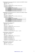*'Enable/disable global sunrise/sunset related actions' command received (Build1235 or higher):*   $SID10-SID9 = 11$  (lowest priority)  $SID8...SID1 = H'00'$  $RTR = 0$ DLC3...DLC0 = 3 databytes to send DATABYTE1 = COMMAND\_ENA\_DIS\_SUNRISE\_SUNSET (H'AE') DATABYTE2 = Channel (FF) DATABYTE3 = enable/disable flags

| <b>Contents</b> | <b>Description</b>              |
|-----------------|---------------------------------|
| B'xxxxxxx0'     | Disable sunrise related actions |
| B'xxxxxx1'      | Enable sunrise related actions  |
| B'xxxxx0x'      | Disable sunset related actions  |
| B'xxxxx1x'      | Enable sunset related actions   |

*'Enable/disable local sunrise/sunset related actions' command received (Build1235 or higher):*   $SID10-SID9 = 11$  (lowest priority)

 $SID8...SID1 = Module address$  $RTR = 0$  $DLC3...DLC0 = 3$  databytes to send DATABYTE1 = COMMAND\_ENA\_DIS\_SUNRISE\_SUNSET (H'AE') DATABYTE2 = Channel (FF) DATABYTE3 = enable/disable flags

| <b>Contents</b> | <b>Description</b>              |
|-----------------|---------------------------------|
| B'xxxxxxx0'     | Disable sunrise related actions |
| B'xxxxxx1'      | Enable sunrise related actions  |
| B'xxxxx0x'      | Disable sunset related actions  |
| B'xxxxx1x'      | Enable sunset related actions   |

### *'Set global clock alarm' command received:*

 $SID10-SID9 = 11$  (lowest priority)  $SID8...SID1 = H'00'$  $RTR = 0$  $DLC3...DLC0 = 7$  databytes to send DATABYTE1 = COMMAND\_SET\_ALARM\_CLOCK (H'C3')  $DATABYTE2 = Alarm number (1 or 2)$  $DATABYTE3 = Wake up hour (0...23)$ DATABYTE4 = Wake up minute  $(0...59)$  $DATABYTE5 = Go$  to bed hour  $(0...23)$ DATABYTE6 = Go to bed minute  $(0...59)$ DATABYTE7 = Clock alarm enable flag  $(0 = \text{disabeled} / 1 = \text{enabeled})$ 

### *'Set local clock alarm' command received:*

 $SID10-SID9 = 11$  (lowest priority)  $SID8...SID1 = Module address$  $RTR = 0$ DLC3...DLC0 = 7 databytes to send DATABYTE1 = COMMAND\_SET\_ALARM\_CLOCK (H'C3')  $DATABYTE2 = Alarm number (1 or 2)$  $DATABYTE3 = Wake up hour (0...23)$  $DATABYTE4 = Wake up minute (0...59)$  $DATABYTE5 = Go$  to bed hour  $(0...23)$ DATABYTE6 = Go to bed minute  $(0...59)$ DATABYTE7 = Clock alarm enable flag  $(0 = \text{disabeled}/1 = \text{enabeled})$ 

# *'Module type request' command received:*

 $SID10-SID9 = 11$  (lowest priority) SID8...SID1 = Module address  $RTR = 1$  $DLC3...DLC0 = 0$  databytes received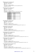*'Module status request' command received:*  $SID10-SID9 = 11$  (lowest priority) SID8...SID1 = Module address  $RTR = 0$ DLC3...DLC0 = 2 databytes received DATABYTE1 = COMMAND\_MODULE\_STATUS\_REQUEST (H'FA') DATABYTE2 = don't care

# *'Channel name request' command received:*

 $SID10-SID9 = 11$  (lowest priority) SID8...SID1 = Module address  $RTR = 0$  $DLC3...DLC0 = 2$  databytes received DATABYTE1 = COMMAND\_CHANNEL\_NAME\_REQUEST (H'EF') DATABYTE2 = channel bit

| <b>Contents</b> | <b>Channel</b> |
|-----------------|----------------|
| B'00000001'     | channel 1      |
| B'00000010'     | channel 2      |
| B'00000100'     | channel 3      |
| B'00001000'     | channel 4      |
| B'00010000'     | channel 5      |
| B'00100000'     | channel 6      |
| B'01000000'     | channel 7      |
| B'10000000'     | channel 8      |

### *'Clear channel LED' command received:*

 $SID10-SID9 = 11$  (lowest priority) SID8...SID1 = Module address  $RTR = 0$ DLC3...DLC0 = 2 databytes received DATABYTE1 = COMMAND\_CLEAR\_LED (H'F5')  $DATABYTE2 = LEDs$  to clear (a one clears the corresponding LED of channel 1 to 8)

### *'Set channel LED' command received:*

 $SID10-SID9 = 11$  (lowest priority) SID8...SID1 = Module address  $RTR = 0$ DLC3...DLC0 = 2 databytes received DATABYTE1 = COMMAND\_SET\_LED (H'F6')  $DATABYTE2 = LEDs$  to set (a one sets the corresponding LED of channel 1 to 8)

# *'Slow blink channel LED' command received:*

 $SID10-SID9 = 11$  (lowest priority) SID8...SID1 = Module address  $RTR = 0$ DLC3...DLC0 = 2 databytes received DATABYTE1 = COMMAND\_SLOW\_BLINK\_LED (H'F7')  $DATABYTE2 = LEDs$  to blink slow (a one blinks slow the corresponding LED of channel 1 to 8)

### *'Fast blink channel LED' command received:*

 $SID10-SID9 = 11$  (lowest priority) SID8...SID1 = Module address  $RTR = 0$ DLC3...DLC0 = 2 databytes received DATABYTE1 = COMMAND\_FAST\_BLINK\_LED (H'F8') DATABYTE2 = LEDs to blink fast (a one blinks fast the corresponding LED of channel 1 to 8)

# *'Very fast blink channel LED' command received:*

 $SID10-SID9 = 11$  (lowest priority)  $SID8...SID1 = Module address$  $RTR = 0$ DLC3...DLC0 = 2 databytes received DATABYTE1 = COMMAND\_VERY\_FAST\_BLINK\_LED (H'F9') DATABYTE2 = LEDs to blink very fast (a one blinks very fast the corresponding LED of channel 1 to 8)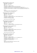*'Update channel LEDs' command received:*   $SID10-SID9 = 11$  (lowest priority) SID8...SID1 = Module address  $RTR = 0$ DLC3...DLC0 = 4 databytes received DATABYTE1 = COMMAND\_UPDATE\_LED\_STATUS (H'F4') DATABYTE2 = LEDs to set (a one sets the corresponding LED of channel 1 to 8)  $DATABYTE3 = LEDs$  to blink slow (a one blinks slow the corresponding LED of channel 1 to 8) DATABYTE4 = LEDs to blink fast (a one blinks very fast the corresponding LED of channel 1 to 8)

Remark:

The 'LEDs to set' status overrides the blinking modes. Very fast blinking if slow & fast blinking are set.

# *'Read data from memory' command received:*

 $SID10-SID9 = 11$  (lowest priority)  $SID8...SID1 = Module address$  $RTR = 0$ DLC3...DLC0 = 3 databytes received DATABYTE1 = COMMAND\_READ\_DATA\_FROM\_MEMORY (H'FD') DATABYTE2 = High memory address DATABYTE3 = LOW memory address

Remark: address range: H'0000' to H'03FF'

# *'Memory dump request' command received:*

 $SID10-SID9 = 11$  (lowest priority)  $SID8...SID1 = Module address$  $RTR = 0$ DLC3...DLC0 = 1 databytes received DATABYTE1 = COMMAND\_MEMORY\_DUMP\_REQUEST (H'CB')

# *'Read data block from memory' command received:*

 $SID10-SID9 = 11$  (lowest priority) SID8...SID1 = Module address  $RTR = 0$ DLC3...DLC0 = 3 databytes received DATABYTE1 = COMMAND\_READ\_MEMORY\_BLOCK (H'C9') DATABYTE2 = High memory address DATABYTE3 = LOW memory address

Remark: address range: H'0000' to H'03FC'

### *'Write data to memory' command received:*

 $SID10-SID9 = 11$  (lowest priority) SID8...SID1 = Module address  $RTR = 0$ DLC3...DLC0 = 4 databytes received DATABYTE1 = COMMAND\_WRITE\_DATA\_TO\_MEMORY (H'FC') DATABYTE2 = High memory address DATABYTE3 = LOW memory address (H'00'...H'FF') DATABYTE4 = memory data to write

Remark:

Wait at least 10ms for sending a next command on the velbus. Address range: H'0000' to H'03FF'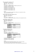*'Write memory block' command received:*  $SID10-SID9 = 11$  (lowest priority)  $SID8...SID1 = Address of the module$  $RTR = 0$ DLC3...DLC0 = 7 databytes received DATABYTE1 = COMMAND\_WRITE\_MEMORY\_BLOCK (H'CA') DATABYTE2 = High memory address DATABYTE3 = LOW memory address DATABYTE4 = memory databyte1 to write DATABYTE5 = memory databyte2 to write DATABYTE6 = memory databyte3 to write DATABYTE7 = memory databyte4 to write

Remark:

Wait for 'memory data block' feedback before sending a next command on the velbus. Address range: H'0000' to H'03FC'

### *'Bus error counter status request' command received:*

 $SID10-SID9 = 11$  (lowest priority)  $SID8...SID1 = Module address$  $RTR = 0$  $DLC3...DLC0 = 1$  databytes to send DATABYTE1 = COMMAND\_BUS\_ERROR\_CONTER\_STATUS\_REQUEST (H'D9')

### *'Unlock channel' command received:*

 $SID10-SID9 = 00$  (highest priority) SID8...SID1 = Module address  $RTR = 0$ DLC3...DLC0 = 2 databytes received DATABYTE1 = COMMAND\_CANCEL\_FORCED\_OFF (H'13') DATABYTE2 = Channel bit

| <b>Contents</b> | <b>Channel</b> |
|-----------------|----------------|
| B'00000001'     | Channel 1      |
| B'00000010'     | Channel 2      |
|                 | $\cdots$       |
| B'10000000'     | Channel 8      |

# *'Lock channel' command received:*

 $SID10-SID9 = 00$  (highest priority) SID8...SID1 = Module address  $RTR = 0$ DLC3...DLC0 = 5 databytes received DATABYTE1 = COMMAND\_FORCED\_OFF (H'12')

DATABYTE2 = Channel bit

| <b>Contents</b> | Dimmer channel |
|-----------------|----------------|
| B'00000001'     | Channel 1      |
| B'00000010'     | Channel 2      |
| $\cdots$        | $\cdots$       |
| B'10000000'     | Channel 8      |

 $DATABYTE3 = high byte of delay time$ 

DATABYTE4 = mid byte of delay time

DATABYTE5 = low byte of delay time

Remark:

[DATABYTE3][DATABYTE4][DATABYTE5] contain a 24-bit time in seconds

The command will be skipped when the time parameter contains zero.

When the time parameter contains H'FFFFFF' then the channelwill be permanently locked.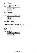*'Enable Channel Program' command received:*  $SID10-SID9 = 11$  (lowest priority) SID8...SID1 = Module address  $RTR = 0$ DLC3...DLC0 = 2 databytes received DATABYTE1 = COMMAND\_ENABLE\_PROGRAM (H'B2') DATABYTE2 = Channel bit

| <b>Contents</b> | <b>Channel</b> |
|-----------------|----------------|
| B'00000001'     | Channel 1      |
| B'00000010'     | Channel 2      |
|                 | $\cdots$       |
| B'10000000'     | Channel 8      |

### *'Disable Channel Program' command received:*

 $SID10-SID9 = 11$  (lowest priority)

SID8...SID1 = Module address

 $RTR = 0$ 

DLC3...DLC0 = 5 databytes received

DATABYTE1 = COMMAND\_DISABLE\_PROGRAM (H'B1') DATABYTE2 = channel

| <b>Contents</b> | <b>Channel</b> |
|-----------------|----------------|
| B'00000001'     | Channel 1      |
| B'00000010'     | Channel 2      |
|                 | $\cdots$       |
| B'10000000'     | Channel 8      |

 $DATABYTE3 = high byte of delay time$ DATABYTE4 = mid byte of delay time

DATABYTE5 = low byte of delay time

Remark:

[DATABYTE3][DATABYTE4][DATABYTE5] contain a 24-bit time in seconds

The command will be skipped when the time parameter contains zero.

When the time parameter contains H'FFFFFF' then the channel program will be permanently disabled.

# *'Select Program' command received:*

 $SID10-SID9 = 11$  (lowest priority) SID8...SID1 = Module address  $RTR = 0$ DLC3...DLC0 = 2 databytes received DATABYTE1 = COMMAND\_SELECT\_PROGRAM (H'B3') DATABYTE2 = Program mode

| <b>Contents</b> | <b>Selected programl</b> |
|-----------------|--------------------------|
|                 | None                     |
|                 | Summer                   |
|                 | Winter                   |
|                 | Holiday                  |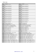| <b>Address</b>      | <b>Contents</b>                                                       | <b>Address</b>      | <b>Contents</b>                                                          |
|---------------------|-----------------------------------------------------------------------|---------------------|--------------------------------------------------------------------------|
| $\overline{H'0000}$ | Channel name character 1                                              | H'0001'             | Channel 1 name character 2                                               |
|                     |                                                                       |                     |                                                                          |
| H'000E'             | Channel 1name character 15                                            | H'000F'             | Channel 1 name character 16                                              |
| H'0010'             | Channel 2 name character 1                                            | H'0011'             | Channel 2 name character 2                                               |
|                     |                                                                       | $\cdots$            |                                                                          |
| H'001E'             | Channel 2name character 15                                            | H'001F'             | Channel 2 name character 16                                              |
| $\rm H'0020'$       | Channel 3 name character 1                                            | H'0021'             | Channel 3 name character 2                                               |
|                     |                                                                       |                     |                                                                          |
| H'002E'             | Channel 3name character 15                                            | H'002F'             | Channel 3 name character 16                                              |
| H'0030'             | Channel 4 name character 1                                            | H'0031'             | Channel 4 name character 2                                               |
|                     |                                                                       |                     |                                                                          |
| H'003E'             | Channel 4name character 15                                            | H'003F'             | Channel 4 name character 16                                              |
| H'0040'             | Channel 5 name character 1                                            | H'0041'             | Channel 5 name character 2                                               |
|                     |                                                                       |                     |                                                                          |
| H'004E'             | Channel 5name character 15                                            | H'004F'             | Channel 5 name character 16                                              |
| H'0050'             | Channel 6 name character 1                                            | H'0051'             | Channel 6 name character 2                                               |
|                     |                                                                       |                     |                                                                          |
| H'005E'             | Channel 6name character 15                                            | $\cdots$<br>H'005F' | Channel 6 name character 16                                              |
| H'0060'             | Channel 7 name character 1                                            | H'0061'             | Channel 7 name character 2                                               |
|                     |                                                                       |                     |                                                                          |
| H'006E'             | Channel 7name character 15                                            | H'006F'             | Channel 7 name character 16                                              |
|                     |                                                                       | H'0071'             |                                                                          |
| H'0070'             | Channel 8 name character 1                                            |                     | Channel 8 name character 2                                               |
|                     |                                                                       |                     |                                                                          |
| H'007E'<br>H'0080'  | Channel 8name character 15                                            | H'007F'             | Channel 8 name character 16                                              |
|                     | Channel 1 reaction time                                               | H'0081'             | Channel 2 reaction time                                                  |
| H'0086'             | Channel 7 reaction time                                               | $\cdots$<br>H'0087' | Channel 8 reaction time                                                  |
| H'0088'             | Channels inverted/non inverted                                        | H'0089'             | Led backlight on/off                                                     |
| H'008A'             | Led backlight intensity                                               | H'008C'             | Led feedback on/off                                                      |
| H'008C'             | Enable/disable slow blinking led feedback                             | H'008D'             | Enable/disable fast blinking led feedback                                |
| H'008E'             | Enable/disable very fast blinking led feedback                        | H'008F'             | Led intensity (Build 1204 or higher)                                     |
| H'0090'             | Program selection (none/summer/winter/holiday)                        | H'0091'             | Channel 81 prog disable/enable flags                                     |
| H'0092'             | Channel 81 locked/unlocked flags                                      | H'0093'             | Alarm clock configuration                                                |
| H'0094'             | Wake up 1 hour $(023)$                                                | H'0095'             | Wake up 1 minutes $(059)$                                                |
| H'0096'             | Go to bed 1 hour $(023)$                                              | H'0097'             | Go to bed 1 minutes $(059)$                                              |
| $H'0098'$           | Wake up 2 hour $(023)$                                                | H'0099'             | Wake up 2 minutes $(059)$                                                |
| H'009A'             | Go to bed 2 hour $(023)$                                              | H'009B'             | Go to bed 2 minutes $(059)$                                              |
| H'009C'             | Channel 1 start function                                              | H'009D'             | Channel 1 end function                                                   |
|                     |                                                                       |                     |                                                                          |
| $\ldots$<br>H'00AA' | $\cdots$<br>Channel 8 start function                                  | $\ldots$<br>H'00AB' | $\ldots$<br>Channel 8 end function                                       |
| H'00AC'             | Multi function channels 81 auto reset enable                          | H'00AD'             | Dual function channels 81 enable                                         |
| H'00AE'             | Dual function long pressed time                                       | H'00AF'             | Long pressed delay (Build 1204 or higher)                                |
| H'00B0'             | Sunrise hour at 21 December $(023)$                                   | H'00B1'             | Sunrise minutes at 21 December (059)                                     |
| H'00B2'             | Sunrise 21 January – sunrise 5 January (-128'127')                    | H'00B3'             | Sunrise 5 February - sunrise 21 January (-128'127')                      |
| H'00B4'             | Sunrise 21 February - sunrise 5 February (-128'127')                  | H'00B5'             | Sunrise 5 March – sunrise 21 February $(-128^{\circ} \dots 127^{\circ})$ |
| H'00B6'             | Sunrise 21 March – sunrise 5 March (-128'127')                        | H'00B7'             | Sunrise 5 April – sunrise 21 March (-128'127')                           |
| $H'00B8'$           | Sunrise 21 April – sunrise 5 April $(-128^{\circ} \dots 127^{\circ})$ | H'00B9'             | Sunrise 5 May – sunrise 21 April (-128'127')                             |
| H'00BA'             | Sunrise 21 May – sunrise 5 May (-128'127')                            | H'00BB'             | Sunrise 5 June – sunrise 21 May $(-128^{\circ} \dots 127^{\circ})$       |
| H'00BC'             | Sunrise 21 June – sunrise 5 June $(-128^{\circ} \dots 127^{\circ})$   | H'00BD'             | Sunrise 5 July – sunrise 21 June $(-128$ <sup>"</sup> 127")              |
| $H'00BE'$           | Sunrise 21 July – sunrise 5 July $(-128^{\circ} \dots 127^{\circ})$   | H'00BF'             | Sunrise 5 August – sunrise 21 July $(-128^{\circ} \dots 127^{\circ})$    |
| H'00C0'             | Sunrise 21 August – sunrise 5 August (-128'127')                      | H'00C1'             | Sunrise 5 September – sunrise 21 August (-128'127')                      |
| H'00C2'             | Sunrise 21 September – sunrise 5 September (-128127')                 | H'00C3'             | Sunrise 5 October – sunrise 21 September (-128'127')                     |
| H'00C4'             | Sunrise 21 October – sunrise 5 October (-128'127')                    | H'00C5'             | Sunrise 5 November – sunrise 21 October (-128'127')                      |
| H'00C6'             | Sunrise 21 November – sunrise 5 November (-128'127')                  | H'00C7'             | Sunrise 5 December – sunrise 21 November (-128'127')                     |
| H'00C8'             | Sunrise 21 December – sunrise 5 December (-128'127')                  | H'00C9'             | Sunrise 5 January – sunrise 21 December (-128'127')                      |
|                     |                                                                       |                     |                                                                          |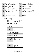| <b>Address</b> | <b>Contents</b>                                                            | <b>Address</b> | <b>Contents</b>                                                            |
|----------------|----------------------------------------------------------------------------|----------------|----------------------------------------------------------------------------|
| H'00CA'        | Sunset hour at 21 December $(023)$                                         | H'00CB'        | Sunset minutes at 21 December $(059)$                                      |
| H'00CC'        | Sunset 21 January – sunrise 5 January $(-128^{\circ} \dots 127^{\circ})$   | H'00CD'        | Sunset 5 February – sunrise 21 January $(-128 \cdot .127)$                 |
| H'00CE'        | Sunset 21 February – sunrise 5 February (-128'127')                        | H'00CF'        | Sunset 5 March - sunrise 21 February (-128'127')                           |
| H'00D0'        | Sunset 21 March – sunrise 5 March $(-128^{\circ} \dots 127^{\circ})$       | H'00D1'        | Sunset 5 April – sunrise 21 March $(-128$ <sup>"</sup> 127 <sup>"</sup> )  |
| H'00D2'        | Sunset 21 April – sunrise 5 April (-128'127')                              | H'00D3'        | Sunset 5 May – sunrise 21 April $(-128^{\circ} \dots 127^{\circ})$         |
| H'00D4'        | Sunset 21 May – sunrise 5 May $(-128^{\circ} \dots 127^{\circ})$           | H'00D5'        | Sunset 5 June – sunrise 21 May $(-128^{\circ} \dots 127^{\circ})$          |
| H'00D6'        | Sunset 21 June – sunrise 5 June $(-128$ <sup>'</sup> 127')                 | H'00D7'        | Sunset 5 July – sunrise 21 June $(-128$ <sup>"</sup> 127")                 |
| H'00D8'        | Sunset 21 July – sunrise 5 July $(-128^{\circ} \dots 127^{\circ})$         | H'00D9'        | Sunset 5 August – sunrise 21 July $(-128$ <sup>"</sup> 127")               |
| H'00DA'        | Sunset 21 August – sunrise 5 August $(-128^{\circ} \dots 127^{\circ})$     | H'00DA'        | Sunset 5 September – sunrise 21 August (-128'127')                         |
| H'00DC'        | Sunset 21 September – sunrise 5 September (-128'127')                      | H'00DC'        | Sunset 5 October – sunrise 21 September $(-128^{\circ} \dots 127^{\circ})$ |
| H'00DE'        | Sunset 21 October – sunrise 5 October $(-128^{\circ} \dots 127^{\circ})$   | H'00DF'        | Sunset 5 November – sunrise 21 October $(-128^{\circ} \dots 127^{\circ})$  |
| H'00E0'        | Sunset 21 November – sunrise 5 November $(-128^{\circ} \dots 127^{\circ})$ | H'00E1'        | Sunset 5 December – sunrise 21 November $(-128^{\circ} \dots 127^{\circ})$ |
| H'00E2'        | Sunset 21 December – sunrise 5 December $(-128^{\circ} \dots 127^{\circ})$ | H'00E3'        | Sunset 5 January – sunrise 21 December $(-128^{\circ} \dots 127^{\circ})$  |
| H'00E4'        | Not used                                                                   | H'00E5'        | Not used                                                                   |
|                | $\cdots$                                                                   |                |                                                                            |
| H'00F8'        | Not used                                                                   | H'00F9'        | Current day $(131)$ (Build 1204 or higher)                                 |
| H'00FA'        | Current month $(112)$ (Build 1204 or higher)                               | H'00FB'        | Current year high byte (Build 1204 or higher)                              |
| H'00FC'        | Current year low byte (Build 1204 or higher)                               | H'00FD'        | Module Address                                                             |
| H'00FE'        | Serial number high                                                         | H'00FF'        | Serial number low                                                          |

# **Remark:**

Unused locations contain H'FF' Do not overwrite the following address location:

| H'0090'           | program selection              |
|-------------------|--------------------------------|
| H'0091'           | channel program enable/disable |
| H'0092'           | channel locked/unlocked        |
| H'00F9'           | current day of month           |
| H'00FA'           | current month                  |
| H'00FB' & H'00FC' | curent year                    |
| H'00FD'           | module address                 |
| H'00FE' & H'00FF' | module serial number           |
|                   |                                |

# *Valid reaction times*

| <b>Contents</b> | <b>Reaction time</b> |
|-----------------|----------------------|
| H'05'           | 0.065s               |
| H'4C'           | l S                  |
| H'99'           | 2s                   |
| H'E0'           | 3s                   |
| H'FF'           | Channel disabled     |

# *Valid long pressed delay (Build 1204 or higher)*

| <b>Contents</b> | <b>Reaction time</b> |
|-----------------|----------------------|
| H'40'           | 0.8s                 |
| H'80'           | 1.6s                 |
| H'FF'           | Default 0.8s         |

## *Channels inverted*

| <b>Contents</b> | Led feedback           |
|-----------------|------------------------|
| B'xxxxxxx0'     | Channel 1 inverted     |
| B'xxxxxx1'      | Channel 1 not inverted |
|                 | $\cdots$               |
| B'OXXXXXXX'     | Channel 8 inverted     |
| B'1xxxxxx'      | Channel 8 non inverted |

# *Led Backlight on/off*

| <b>Contents</b> | Led backlight |
|-----------------|---------------|
| B'xxxxxxx0'     | Channel 1 off |
| B'xxxxxx1'      | Channel 1 on  |
|                 | $\cdots$      |
| B'OXXXXXXX'     | Channel 8 off |
| B'1xxxxxx'      | Channel 8 on  |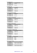# *Led backlight intensity*

| <b>Contents</b> | Led backlight intensity |
|-----------------|-------------------------|
| H'01'           | Minimum                 |
| $\cdots$        | $\cdots$                |
|                 | Maximum                 |

# *Led feedback on/off*

| <br><b>Contents</b> | Led feedback  |
|---------------------|---------------|
| B'xxxxxxx0'         | Channel 1 off |
| B'xxxxxx1'          | Channel 1 on  |
|                     | $\cdots$      |
| B'0xxxxxx'          | Channel 8 off |
| B'1xxxxxx'          | Channel 8 on  |

# *Led intensity (Build 1204 or higher)*

| <b>Contents</b> | Led intensity |
|-----------------|---------------|
| H'01'           | Minimum       |
| $\cdots$        | $\cdots$      |
| H'40'           | Maximum       |

# *Slow blinking Led feedback on/off*

| <b>Contents</b> | <b>Slow blinking Led feedback</b> |
|-----------------|-----------------------------------|
| B'xxxxxxx0'     | Channel 1 off                     |
| B'xxxxxx1'      | Channel 1 on                      |
|                 | $\cdots$                          |
| B'OXXXXXXX'     | Channel 8 off                     |
| B'1xxxxxx'      | Channel 8 on                      |

# *Fast blinking Led feedback on/off*

| <b>Contents</b> | <b>Fast blinking Led feedback</b> |
|-----------------|-----------------------------------|
| B'xxxxxx0'      | Channel 1 off                     |
| B'xxxxxx1'      | Channel 1 on                      |
|                 | $\cdots$                          |
| B'OXXXXXXX'     | Channel 8 off                     |
| R'1xxxxxx'      | Channel 8 on                      |

# *Very fast blinking Led feedback on/off*

| - -             |                                        |
|-----------------|----------------------------------------|
| <b>Contents</b> | <b>Very Fast blinking Led feedback</b> |
| B'xxxxxx0'      | Channel 1 off                          |
| B'xxxxxx1'      | Channel 1 on                           |
|                 | $\cdots$                               |
| B'OXXXXXXX'     | Channel 8 off                          |
| B'1xxxxxx'      | Channel 8 on                           |
|                 |                                        |

### *Program selection*

| <b>Contents</b> | <b>Selected program</b> |
|-----------------|-------------------------|
|                 | None                    |
|                 | Summer                  |
|                 | Winter                  |
|                 | Holiday                 |

# *Channel program disabled*

| <b>Contents</b> | Channel program enabled/disabled |
|-----------------|----------------------------------|
| B'xxxxxx0'      | Channel 1 programs enabled       |
| B'xxxxxx1'      | Channel 1 programs disabled      |
|                 |                                  |
| B'OXXXXXXX'     | Channel 8 programs enabled       |
| B'1xxxxxx'      | Channel 8 programs disabled      |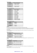### *Channel locked*

| <b>Contents</b> | <b>Channel locked/unlocked</b> |
|-----------------|--------------------------------|
| B'xxxxxx0'      | Channel 1 unlocked             |
| B'xxxxxx1'      | Channel 1 locked               |
|                 | $\cdots$                       |
| B'0xxxxxx'      | Channel 8 unlocked             |
| B'1xxxxxx'      | Channel 8 locked               |

# *Alarm clock configuration*

| <b>Contents</b>       | <b>Channel locked/unlocked</b> |
|-----------------------|--------------------------------|
| B'xxxxxxx0'           | Alarm 1 disabled               |
| B'xxxxxx1'            | Alarm 1 enabled                |
| B'0xxxx0x'            | Local alarm 1                  |
| B'1xxxx1x'            | Global alarm 1                 |
| B'xxxxx0xx'           | Alarm 2 disabled               |
| B'xxxxx1xx'           | Alarm 2 enabled                |
| B'xxxx0xxx'           | Local alarm 2                  |
| B'xxxx1xxx'           | Global alarm 2                 |
| B'xxx0xxxx'           | Sunrise disabled               |
| $B'$ xxx $1$ xxx $x'$ | Sunrise enabled                |
| B'xx0xxxx'            | Sunset disabled                |
| B'xx1xxxxx'           | Sunset enabled                 |
| B'x0xxxxxx'           | Summer time disabled           |
| B'x1xxxxxx'           | Summer time enabled            |

# *Channel x start/end function*

| $\cdot$         |                 |
|-----------------|-----------------|
| <b>Contents</b> | <b>Function</b> |
| B'00000001'     | Channel 1       |
| B'00000010'     | Channel 2       |
| $\cdots$        | $\cdots$        |
| B'01000000'     | Channel 7       |
| B'10000000'     | Channel 8       |
|                 |                 |

### **Remark:**

For a normal one function button, the start and end function channel are the same.

For a multi function button, the start function channel must be less than the end function. At every press the next channel wil be send. When the end function channel is reached, the start channel will be send again at the next press.

For a dual function button, the start function channel will be send at a short press or the end function will be send at a long press.

### *Multi function auto reset*

| <b>Contents</b> | <b>Multi function auto reset</b> |
|-----------------|----------------------------------|
| B'xxxxxxx0'     | Channel 1 auto reset disabled    |
| B'xxxxxx1'      | Channel 1 auto reset enabled     |
|                 |                                  |
| B'OXXXXXXX'     | Channel 8 auto reset disabled    |
| B'1xxxxxx'      | Channel 8 auto reset enabled     |

**Remark:** When auto reset is enabled, the start function will be loaded again after 3 seconds inactivity of the channel.

### *Dual function enable*

| <b>Contents</b> | <b>Dual</b> function             |
|-----------------|----------------------------------|
| B'xxxxxxx0'     | Channel 1 dual function disabled |
| B'xxxxxx1'      | Channel 1 dual function enabled  |
| $\cdots$        | $\cdots$                         |
| B'0xxxxxx'      | Channel 8 dual function disabled |
| B'1xxxxxx'      | Channel 8 dual function enabled  |

### **Remark:**

For a dual function button, the start function channel will be send at a short press or the end function will be send at a long press.

The dual function overwrites the multi function mode.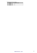*Valid dual function long pressed times* 

| <b>Contents</b> | Long pressed time |
|-----------------|-------------------|
| H'4C'           |                   |
| H'99'           |                   |
|                 |                   |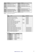| <b>Address</b> | <b>Contents</b>                         | <b>Address</b> | <b>Contents</b>                         |
|----------------|-----------------------------------------|----------------|-----------------------------------------|
| H'0100'        | Linked Push button 1 module address     | H'0101'        | Linked Push button 1 bit number         |
| H'0102'        | Linked Push button 1 action             | H'0103'        | Linked Push button 1 time parameter     |
| H'0104'        | Linked Push button 1 channel parameter  | H'0105'        | Linked Push button 2 module address     |
| H'0106'        | Linked Push button 2 bit number         | H'0107'        | Linked Push button 2 action             |
| H'0108'        | Linked Push button 2 time parameter     | H'0109'        | Linked Push button 2 channel parameter  |
| H'010A'        | $\cdots$                                | H'010B'        | $\cdots$                                |
| $\cdots$       | $\cdots$                                | $\cdots$       | $\cdots$                                |
| $\cdots$       | $\cdots$                                | H'01F5'        | Linked Push button 50 module address    |
| H'01F6'        | Linked Push button 50 bit number        | H'01F7'        | Linked Push button 50 action            |
| H'01F8'        | Linked Push button 50 time parameter    | H'01F9'        | Linked Push button 50 channel parameter |
| H'01FA'        | Linked Push button 51 module address    | H'01FB'        | Linked Push button 51 bit number        |
| H'01FC'        | Linked Push button 51 action            | H'01FD'        | Linked Push button 51 time parameter    |
| H'01FE'        | Linked Push button 51 channel parameter | H'01FF'        | Not used                                |

# **Remark:** Unused locations contain H'FF'

| <b>Action</b>  | <b>Action</b>                                 | <b>Time</b>              | <b>Bit number</b>        |
|----------------|-----------------------------------------------|--------------------------|--------------------------|
| number         |                                               | parameter                |                          |
| $\Omega$       | Switch status led indication                  |                          | Channel bit              |
|                | Lock channel at closed switch                 |                          | Channel bit              |
| $\overline{2}$ | Lock channel at opened switch                 |                          | Channel bit              |
| 3              | Lock channel                                  | Timeout                  | Channel bit              |
| $\overline{4}$ | Lock/unlock channel                           | Timeout                  | Channel bit              |
| 5              | Unlock channel                                |                          | Channel bit              |
| 6              | Disable channel program at closed switch      |                          | Channel bit              |
| 7              | Disable channel program at opened switch      |                          | Channel bit              |
| 8              | Disable channel program channel               | Timeout                  | Channel bit              |
| 9              | Disable/enable channel program                | Timeout                  | Channel bit              |
| 10             | Enable channel program                        |                          | Channel bit              |
| 11             | Select no programs                            |                          |                          |
| 12             | Select summer programs                        |                          |                          |
| 13             | Select winter programs                        |                          |                          |
| 14             | Select holiday programs                       |                          |                          |
| 15             | Enable Alarm/Sunrise/Sunset at closed switch  | $\overline{\phantom{a}}$ | Alarm/sunrise/sunset bit |
| 16             | Enable Alarm/Sunrise/Sunset at open switch    | $\overline{\phantom{a}}$ | Alarm/sunrise/sunset bit |
| 17             | Disable Alarm/Sunrise/Sunset at closed switch | $\blacksquare$           | Alarm/sunrise/sunset bit |
| 18             | Disable Alarm/Sunrise/Sunset at open switch   | $\overline{\phantom{a}}$ | Alarm/sunrise/sunset bit |
| 19             | Enable Alarm/Sunrise/Sunset                   | $\overline{\phantom{a}}$ | Alarm/sunrise/sunset bit |
| 20             | Enable/Disable Alarm/Sunrise/Sunset           | $\overline{\phantom{a}}$ | Alarm/sunrise/sunset bit |
| 21             | Disable Alarm/Sunrise/Sunset                  | $\overline{\phantom{a}}$ | Alarm/sunrise/sunset bit |

# Bit Number

| <b>Contents</b> | <b>Bit number</b>    |
|-----------------|----------------------|
| B'00000001'     | Channel 1 or Alarm1  |
| B'00000010'     | Channel 2            |
| B'00000100'     | Channel 3 or Alarm2  |
| B'00001000'     | Channel 4            |
| B'00010000'     | Channel 5 or Sunrise |
| B'00100000'     | Channel 6 or Sunset  |
| B'01000000'     | Channel 7            |
| B'10000000'     | Channel 8            |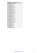Time parameter

| Time parameter   | <b>Timeout</b>  |
|------------------|-----------------|
| $\overline{0}$   | 0s (No timer)   |
| $\mathbf{1}$     | 1s              |
| $\overline{2}$   | 2s              |
|                  |                 |
| 119              | 1min59s         |
| 120              | 2min            |
| 121              | 2min15s         |
| $\cdots$         |                 |
| 131              | 4min45s         |
| 132              | 5min            |
| 133              | 5min30s         |
| $\cdots$         |                 |
| 181              | 29min30s        |
| 182              | 30min           |
| 183              | 31min           |
| $\ldots$         |                 |
| $\overline{211}$ | 59min           |
| 212              | 1 <sub>h</sub>  |
| 213              | 1h15min         |
| $\cdots$         |                 |
| 227              | 4h45min         |
| 228              | 5h              |
| 229              | 5h30min         |
| $\cdots$         |                 |
| 237              | 9h30min         |
| 238              | 10 <sub>h</sub> |
| 239              | 11h             |
| $\cdots$         |                 |
| $\overline{251}$ | 23h             |
| 252              | $1\mathrm{d}$   |
| 253              | 2d              |
| 254              | 3d              |
| 255              | infinite        |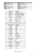| <b>Address</b>    | <b>Contents</b>       | <b>Address</b>   | <b>Contents</b>       |
|-------------------|-----------------------|------------------|-----------------------|
| H'0200'           | Program step 1 byte1  | H'0201'          | Program step 1 byte2  |
| H'0202'           | Program step 1 byte3  | H'0203'          | Program step 1 byte4  |
| H'0204'           | Program step 1 byte5  | H'0205'          | Program step 1 byte6  |
| $\cdot\cdot\cdot$ | $\cdot\cdot$          | $\bullet\bullet$ | $\ddot{\phantom{0}}$  |
| H'03F8'           | Program step 85 byte1 | H'03F9'          | Program step 85 byte2 |
| H'03FA'           | Program step 85 byte3 | H'03FB'          | Program step 85 byte4 |
| H'03FC'           | Program step 85 byte5 | H'03FD'          | Program step 85 byte6 |
| H'03FE'           | Not used              | H'03FF'          | Not used              |

| Contents program byte1 | <b>Description</b>                 |
|------------------------|------------------------------------|
| B'000xxxxx'            | Disable program step               |
| B'001xxxxx'            | Absolute time                      |
| B'010xxxxx'            | Wake up time $1 +$ relative time   |
| B'011xxxxx'            | Go to bed time $1 +$ relative time |
| B'100xxxxx'            | Wake up time $2 +$ relative time   |
| B'101xxxxx'            | Go to bed time $2 +$ relative time |
| B'110xxxxx'            | Sunrise + relative time            |
| B'111xxxx'             | Sunset $+$ relative time           |
| $B'$ xxx $01111'$      | Rel. time $= 3h45$ min             |
| $\cdots$               |                                    |
| $B'$ xxx00001'         | Rel. time $= 15$ min               |
| B'xxx00000'            | Rel. time $= 0$                    |
| $B'$ xxx $11111'$      | Rel. time $= -15$ min              |
|                        |                                    |
| $B'$ xxx $10000'$      | Rel. time $= -4h$                  |

**Remark:** Wake up, Go to bed, sunrise & sunset time are only allowed for weekly programs

| Contents program byte2 | <b>Description</b> |
|------------------------|--------------------|
| B'xxxx0000'            | Weekly program     |
| B'xxxx0001'            | January            |
| B'xxxx0010'            | February           |
| B'xxxx0011'            | March              |
| B'xxxx0100'            | April              |
| B'xxxx0101'            | May                |
| B'xxxx0110'            | June               |
| B'xxxx0111'            | July               |
| B'xxxx1000'            | August             |
| B'xxxx1001'            | September          |
| B'xxxx1010'            | October            |
| B'xxxx1011'            | November           |
| B'xxxx1100'            | December           |
| B'xxxx1101'            | Monthly program    |
| B'xxxx1110'            | Monthly program    |
| B'xxxx1111'            | Monthly program    |

| Contents program byte3 | <b>Description</b> |
|------------------------|--------------------|
| B'xxx00000'            | 0h                 |
| B'xxx00001'            | 1h                 |
| $\cdots$               | $\cdots$           |
| $B'$ xxx $10111'$      | 23h                |
| B'xx1xxxx'             | Summer program     |
| B'x1xxxxxx'            | Winter program     |
| B'1xxxxxx'             | Holiday program    |

| Contents program byte4 | <b>Description</b> |
|------------------------|--------------------|
| B'xx000000'            | 0min               |
| B'xx000001'            | 1 min              |
| $\cdots$               | $\cdots$           |
| B'xx111011'            | 59 <sub>min</sub>  |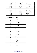| Contents program byte4 | Contents program byte2 | <b>Description</b>       |
|------------------------|------------------------|--------------------------|
| B'00xxxxxx'            | B'0000xxxx'            | Never                    |
| B'00xxxxx'             | B'0001xxxx'            | Day 1of the month        |
| B'00xxxxx'             | B'0010xxxx'            | Day 2of the month        |
| $\cdots$               | $\cdots$               | .                        |
| B'01xxxxxx'            | B'1111xxxx'            | Day 31 of the month      |
| B'10xxxxxx'            | B'0000xxxx'            | Never                    |
| B'10xxxxxx'            | B'0001xxxx'            | Every Monday             |
| B'10xxxxxx'            | B'0010xxxx'            | <b>Every Tuesday</b>     |
| $\cdots$               | $\cdots$               | $\cdots$                 |
| B'10xxxxxx'            | B'0111xxxx'            | Every Sunday             |
| B'10xxxxx'             | B'1000xxxx'            | Every weekend (sa & su)  |
| B'10xxxxxx'            | B'1001xxxx'            | Every working day (mofr) |
| B'10xxxxxx'            | B'1010xxxx'            | Every day except Sunday  |
| B'10xxxxxx'            | B'1011xxxx'            | Every day                |
| B'10xxxxx'             | B'1100xxxx'            | Never                    |
| $\cdots$               | $\cdots$               | $\cdots$                 |
| B'llxxxxxx'            | B'1111xxxx'            | Never                    |

| Contents program byte5 | <b>Action</b>            |
|------------------------|--------------------------|
| $\boldsymbol{0}$       | $\overline{0s}$ 25 Pulse |
| $\overline{1}$         | 1s Pulse                 |
| $\overline{2}$         | 2s Pulse                 |
|                        | $\cdots$                 |
| 119                    | 1min59s Pulse            |
| 120                    | 2min Pulse               |
| 121                    | 2min15s Pulse            |
| $\ldots$               | $\cdots$                 |
| 131                    | 4min45s Pulse            |
| 132                    | 5min Pulse               |
| 133                    | 5min30s Pulse            |
| $\ldots$               | $\cdots$                 |
| 181                    | 29min30s Pulse           |
| 182                    | 30min Pulse              |
| 183                    | 31min Pulse              |
| $\cdots$               |                          |
| 211                    | 59min Pulse              |
| 212                    | 1h Pulse                 |
| 213                    | 1h15min Pulse            |
|                        |                          |
| 227                    | 4h45min Pulse            |
| 228                    | 5h Pulse                 |
| 229                    | 5h30min Pulse            |
| $\cdots$               | $\cdots$                 |
| 237                    | 9h30min Pulse            |
| 238                    | 10h Pulse                |
| 239                    | 11h Pulse                |
| $\cdots$               | $\cdots$                 |
| 246                    | 18h Pulse                |
| 247                    | Press                    |
| 248                    | Long Press               |
| 249                    | Release                  |
| 250                    | Lock                     |
| 251                    | Unlock                   |
| 252                    | No action                |
| $\cdots$               | $\cdots$                 |
| 255                    | No action                |
|                        |                          |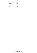| Contents program byte6 | <b>Channel</b> |
|------------------------|----------------|
| B'00000001'            | Channel 1      |
| B'00000010'            | Channel 2      |
| B'00000100'            | Channel 3      |
| B'00001000'            | Channel 4      |
| B'00010000'            | Channel 5      |
| B'00100000'            | Channel 6      |
| B'01000000'            | Channel 7      |
| B'10000000'            | Channel 8      |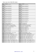# **Memory map version 2 (Build 1409 or higher):**

| <b>Address</b>      | <b>Contents</b>                                                                                                         | <b>Address</b>      | <b>Contents</b>                                                       |
|---------------------|-------------------------------------------------------------------------------------------------------------------------|---------------------|-----------------------------------------------------------------------|
| H'0000'             | Channel name character 1                                                                                                | H'0001'             | Channel 1 name character 2                                            |
|                     |                                                                                                                         | $\ldots$            |                                                                       |
| H'000E'             | Channel 1name character 15                                                                                              | H'000F'             | Channel 1 name character 16                                           |
| H'0010'             | Channel 2 name character 1                                                                                              | H'0011'             | Channel 2 name character 2                                            |
|                     |                                                                                                                         |                     |                                                                       |
| $\cdots$<br>H'001E' | Channel 2name character 15                                                                                              | H'001F'             | Channel 2 name character 16                                           |
| H'0020'             | Channel 3 name character 1                                                                                              | H'0021'             | Channel 3 name character 2                                            |
|                     |                                                                                                                         |                     |                                                                       |
| H'002E'             | Channel 3name character 15                                                                                              | H'002F'             | Channel 3 name character 16                                           |
| H'0030'             | Channel 4 name character 1                                                                                              | H'0031'             | Channel 4 name character 2                                            |
| $\cdots$            |                                                                                                                         |                     |                                                                       |
| H'003E'             | Channel 4name character 15                                                                                              | H'003F'             | Channel 4 name character 16                                           |
| H'0040'             | Channel 5 name character 1                                                                                              | H'0041'             | Channel 5 name character 2                                            |
|                     |                                                                                                                         | $\cdots$            |                                                                       |
| H'004E'             | Channel 5name character 15                                                                                              | H'004F'             | Channel 5 name character 16                                           |
| H'0050'             | Channel 6 name character 1                                                                                              | H'0051'             | Channel 6 name character 2                                            |
|                     |                                                                                                                         | $\cdots$            |                                                                       |
| H'005E'             | Channel 6name character 15                                                                                              | H'005F'             | Channel 6 name character 16                                           |
| H'0060'             | Channel 7 name character 1                                                                                              | H'0061'             | Channel 7 name character 2                                            |
|                     |                                                                                                                         | $\ldots$            |                                                                       |
| H'006E'             | Channel 7name character 15                                                                                              | H'006F'             | Channel 7 name character 16                                           |
| H'0070'             | Channel 8 name character 1                                                                                              | H'0071'             | Channel 8 name character 2                                            |
|                     |                                                                                                                         |                     |                                                                       |
| H'007E'             | Channel 8name character 15                                                                                              | H'007F'             | Channel 8 name character 16                                           |
| H'0080'             | Channel 1 reaction time                                                                                                 | H'0081'             | Channel 2 reaction time                                               |
|                     |                                                                                                                         | $\cdots$            |                                                                       |
| H'0086'             | Channel 7 reaction time                                                                                                 | H'0087'             | Channel 8 reaction time                                               |
| H'0088'             | Channels inverted/non inverted                                                                                          | H'0089'             | Led backlight on/off                                                  |
| H'008A'             | Led backlight intensity                                                                                                 | H'008C'             | Led feedback on/off                                                   |
| H'008C'             | Enable/disable slow blinking led feedback                                                                               | H'008D'             | Enable/disable fast blinking led feedback                             |
| H'008E'             | Enable/disable very fast blinking led feedback                                                                          | H'008F'             | Led intensity (Build 1204 or higher)                                  |
| H'0090'             | Program selection (none/summer/winter/holiday)                                                                          | H'0091'             | Channel 81 prog disable/enable flags                                  |
| H'0092'             | Channel 81 locked/unlocked flags                                                                                        | H'0093'             | Alarm clock configuration                                             |
| H'0094'             | Wake up 1 hour $(023)$                                                                                                  | H'0095'             | Wake up 1 minutes $(059)$                                             |
| H'0096'             | Go to bed 1 hour $(023)$                                                                                                | H'0097'             | Go to bed 1 minutes $(059)$                                           |
| H'0098'             | Wake up 2 hour $(023)$                                                                                                  | H'0099'             | Wake up 2 minutes $(059)$                                             |
| H'009A'             | Go to bed 2 hour $(023)$                                                                                                | H'009B'             | Go to bed 2 minutes $(059)$                                           |
| H'009C'             | Channel 1 start function                                                                                                | H'009D'             | Channel 1 end function                                                |
|                     |                                                                                                                         |                     |                                                                       |
| $\cdots$<br>H'00AA' | $\cdots$<br>Channel 8 start function                                                                                    | $\ldots$<br>H'00AB' | $\cdots$<br>Channel 8 end function                                    |
| H'00AC'             | Multi function channels 81 auto reset enable                                                                            | H'00AD'             | Dual function channels 81 enable                                      |
| H'00AE'             | Dual function long pressed time                                                                                         | H'00AF'             | Long pressed delay (Build 1204 or higher)                             |
| H'00B0'             | Sunrise hour at 21 December $(023)$                                                                                     | H'00B1'             | Sunrise minutes at 21 December (059)                                  |
| H'00B2'             | Sunrise 21 January - sunrise 5 January (-128'127')                                                                      | H'00B3'             | Sunrise 5 February – sunrise 21 January (-128'127')                   |
| H'00B4'             | Sunrise 21 February – sunrise 5 February (-128'127')                                                                    | H'00B5'             | Sunrise 5 March - sunrise 21 February (-128'127')                     |
| H'00B6'             | Sunrise 21 March – sunrise 5 March (-128'127')                                                                          | H'00B7'             | Sunrise 5 April – sunrise 21 March (-128'127')                        |
| H'00B8'             | Sunrise 21 April – sunrise 5 April $(-128^{\circ} \dots 127^{\circ})$                                                   | H'00B9'             | Sunrise 5 May – sunrise 21 April (-128'127')                          |
| H'00BA'             | Sunrise 21 May – sunrise 5 May (-128'127')                                                                              | H'00BB'             | Sunrise 5 June – sunrise 21 May (-128'127')                           |
| H'00BC'             | Sunrise 21 June – sunrise 5 June $(-128^{\circ} \dots 127^{\circ})$                                                     | H'00BD'             | Sunrise 5 July – sunrise 21 June $(-128^{\circ} \dots 127^{\circ})$   |
| H'00BE'             |                                                                                                                         | H'00BF'             | Sunrise 5 August – sunrise 21 July $(-128^{\circ} \dots 127^{\circ})$ |
| H'00C0'             | Sunrise 21 July – sunrise 5 July $(-128^{\circ} \dots 127^{\circ})$<br>Sunrise 21 August – sunrise 5 August (-128'127') | H'00C1'             | Sunrise 5 September – sunrise 21 August (-128'127')                   |
| H'00C2'             | Sunrise 21 September – sunrise 5 September (-128.127')                                                                  | H'00C3'             | Sunrise 5 October – sunrise 21 September (-128'127')                  |
|                     |                                                                                                                         |                     |                                                                       |
| H'00C4'<br>H'00C6'  | Sunrise 21 October – sunrise 5 October (-128'127')                                                                      | H'00C5'             | Sunrise 5 November – sunrise 21 October (-128'127')                   |
|                     | Sunrise 21 November – sunrise 5 November $(-128^{\circ} \ldots 127^{\circ})$                                            | H'00C7'             | Sunrise 5 December – sunrise 21 November (-128'127')                  |
| H'00C8'             | Sunrise 21 December – sunrise 5 December (-128'127')                                                                    | H'00C9'             | Sunrise 5 January – sunrise 21 December (-128'127')                   |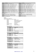| <b>Address</b> | <b>Contents</b>                                                            | <b>Address</b> | <b>Contents</b>                                                            |
|----------------|----------------------------------------------------------------------------|----------------|----------------------------------------------------------------------------|
| H'00CA'        | Sunset hour at 21 December $(023)$                                         | H'00CB'        | Sunset minutes at 21 December $(059)$                                      |
| H'00CC'        | Sunset 21 January – sunrise 5 January $(-128^{\circ} \dots 127^{\circ})$   | H'00CD'        | Sunset 5 February – sunrise 21 January $(-128$ 127')                       |
| H'00CE'        | Sunset 21 February – sunrise 5 February $(-128^{\circ} \dots 127^{\circ})$ | H'00CF'        | Sunset 5 March – sunrise 21 February $(-128^{\circ} \dots 127^{\circ})$    |
| H'00D0'        | Sunset 21 March – sunrise 5 March $(-128^{\circ} \dots 127^{\circ})$       | H'00D1'        | Sunset 5 April – sunrise 21 March $(-128$ <sup>"</sup> 127 <sup>"</sup> )  |
| H'00D2'        | Sunset 21 April – sunrise 5 April (-128'127')                              | H'00D3'        | Sunset 5 May – sunrise 21 April $(-128^{\circ} \dots 127^{\circ})$         |
| H'00D4'        | Sunset 21 May – sunrise 5 May $(-128$ 127')                                | H'00D5'        | Sunset 5 June – sunrise 21 May $(-128$ "127")                              |
| H'00D6'        | Sunset 21 June – sunrise 5 June $(-128$ <sup>'</sup> 127')                 | H'00D7'        | Sunset 5 July – sunrise 21 June $(-128$ <sup>"</sup> 127")                 |
| H'00D8'        | Sunset 21 July – sunrise 5 July $(-128^{\circ} \dots 127^{\circ})$         | H'00D9'        | Sunset 5 August – sunrise 21 July $(-128^{\circ} \dots 127^{\circ})$       |
| H'00DA'        | Sunset 21 August – sunrise 5 August (-128'127')                            | H'00DA'        | Sunset 5 September – sunrise 21 August (-128'127')                         |
| H'00DC'        | Sunset 21 September – sunrise 5 September (-128'127')                      | H'00DC'        | Sunset 5 October – sunrise 21 September $(-128^{\circ} \dots 127^{\circ})$ |
| H'00DE'        | Sunset 21 October – sunrise 5 October $(-128^{\circ} \dots 127^{\circ})$   | H'00DF'        | Sunset 5 November – sunrise 21 October (-128'127')                         |
| H'00E0'        | Sunset 21 November – sunrise 5 November $(-128^{\circ} \dots 127^{\circ})$ | H'00E1'        | Sunset 5 December – sunrise 21 November (-128'127')                        |
| H'00E2'        | Sunset 21 December – sunrise 5 December $(-128^{\circ} \dots 127^{\circ})$ | H'00E3'        | Sunset 5 January – sunrise 21 December $(-128^{\circ} \dots 127^{\circ})$  |
| H'00E4'        | Not used                                                                   | H'00E5'        | Not used                                                                   |
|                | $\cdots$                                                                   |                |                                                                            |
| H'00F8'        | Module terminator (Build 1409 or higher)                                   | H'00F9'        | Current day $(131)$ (Build 1204 or higher)                                 |
| H'00FA'        | Current month $(112)$ (Build 1204 or higher)                               | H'00FB'        | Current year high byte (Build 1204 or higher)                              |
| H'00FC'        | Current year low byte (Build 1204 or higher)                               | H'00FD'        | Module Address                                                             |
| H'00FE'        | Serial number high                                                         | H'00FF'        | Serial number low                                                          |

# **Remark:**

Unused locations contain H'FF' Do not overwrite the following address location:

| H'0090'           | program selection              |
|-------------------|--------------------------------|
| H'0091'           | channel program enable/disable |
| H'0092'           | channel locked/unlocked        |
| H'00F9'           | current day of month           |
| H'00FA'           | current month                  |
| H'00FB' & H'00FC' | curent year                    |
| H'00FD'           | module address                 |
| H'00FE' & H'00FF' | module serial number           |
|                   |                                |

# *Valid reaction times*

| <b>Contents</b> | <b>Reaction time</b> |
|-----------------|----------------------|
| H'05'           | 0.065s               |
| H'4C'           | l S                  |
| H'99'           | 2s                   |
| H'E0'           | 3s                   |
| H'FF'           | Channel disabled     |

# *Valid long pressed delay (Build 1204 or higher)*

| <b>Contents</b> | <b>Reaction time</b> |
|-----------------|----------------------|
| H'40'           | 0.8s                 |
| H'80'           | 1.6s                 |
| -4'FF'-         | Default 0.8s         |

## *Channels inverted*

| <b>Contents</b> | Led feedback           |
|-----------------|------------------------|
| B'xxxxxxx0'     | Channel 1 inverted     |
| B'xxxxxx1'      | Channel 1 not inverted |
|                 | $\cdots$               |
| B'OXXXXXXX'     | Channel 8 inverted     |
| B'1xxxxxx'      | Channel 8 non inverted |

# *Led Backlight on/off*

| <b>Contents</b> | <b>Led backlight</b> |
|-----------------|----------------------|
| B'xxxxxx0'      | Channel 1 off        |
| B'xxxxxx1'      | Channel 1 on         |
|                 | $\cdots$             |
| B'OXXXXXXX'     | Channel 8 off        |
| B'1xxxxxx'      | Channel 8 on         |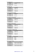# *Led backlight intensity*

| <b>Contents</b> | Led backlight intensity |
|-----------------|-------------------------|
| H'01'           | Minimum                 |
| $\cdots$        | $\cdots$                |
|                 | Maximum                 |

# *Led feedback on/off*

| <br><b>Contents</b> | Led feedback  |
|---------------------|---------------|
| B'xxxxxx0'          | Channel 1 off |
| B'xxxxxx1'          | Channel 1 on  |
| $\cdots$            | $\cdots$      |
| B'0xxxxxx'          | Channel 8 off |
| B'1xxxxxx'          | Channel 8 on  |

# *Led intensity (Build 1204 or higher)*

| <b>Contents</b> | Led intensity |
|-----------------|---------------|
| H'01'           | Minimum       |
| $\cdots$        | $\cdots$      |
| H'40'           | Maximum       |

# *Slow blinking Led feedback on/off*

| <b>Contents</b> | <b>Slow blinking Led feedback</b> |
|-----------------|-----------------------------------|
| B'xxxxxxx0'     | Channel 1 off                     |
| B'xxxxxx1'      | Channel 1 on                      |
|                 | $\cdots$                          |
| B'OXXXXXXX'     | Channel 8 off                     |
| B'1xxxxxx'      | Channel 8 on                      |

# *Fast blinking Led feedback on/off*

| <b>Contents</b> | <b>Fast blinking Led feedback</b> |  |
|-----------------|-----------------------------------|--|
| B'xxxxxx0'      | Channel 1 off                     |  |
| B'xxxxxx1'      | Channel 1 on                      |  |
|                 | $\cdots$                          |  |
| B'OXXXXXXX'     | Channel 8 off                     |  |
| R'1xxxxxx'      | Channel 8 on                      |  |

# *Very fast blinking Led feedback on/off*

| - -             |                                        |  |
|-----------------|----------------------------------------|--|
| <b>Contents</b> | <b>Very Fast blinking Led feedback</b> |  |
| B'xxxxxx0'      | Channel 1 off                          |  |
| B'xxxxxx1'      | Channel 1 on                           |  |
|                 | $\cdots$                               |  |
| B'OXXXXXXX'     | Channel 8 off                          |  |
| B'1xxxxxx'      | Channel 8 on                           |  |
|                 |                                        |  |

### *Program selection*

| <b>Contents</b> | <b>Selected program</b> |  |
|-----------------|-------------------------|--|
|                 | None                    |  |
|                 | Summer                  |  |
|                 | Winter                  |  |
|                 | Holiday                 |  |

# *Channel program disabled*

| <b>Contents</b> | Channel program enabled/disabled |  |
|-----------------|----------------------------------|--|
| B'xxxxxx0'      | Channel 1 programs enabled       |  |
| B'xxxxxx1'      | Channel 1 programs disabled      |  |
|                 |                                  |  |
| B'OXXXXXXX'     | Channel 8 programs enabled       |  |
| B'1xxxxxx'      | Channel 8 programs disabled      |  |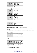### *Channel locked*

| <b>Contents</b> | <b>Channel locked/unlocked</b> |  |
|-----------------|--------------------------------|--|
| B'xxxxxx0'      | Channel 1 unlocked             |  |
| B'xxxxxx1'      | Channel 1 locked               |  |
|                 | $\cdots$                       |  |
| B'0xxxxxx'      | Channel 8 unlocked             |  |
| B'1xxxxxx'      | Channel 8 locked               |  |

# *Alarm clock configuration*

| <b>Contents</b>       | <b>Channel locked/unlocked</b> |  |
|-----------------------|--------------------------------|--|
| B'xxxxxxx0'           | Alarm 1 disabled               |  |
| B'xxxxxx1'            | Alarm 1 enabled                |  |
| B'0xxxx0x'            | Local alarm 1                  |  |
| B'1xxxx1x'            | Global alarm 1                 |  |
| B'xxxxx0xx'           | Alarm 2 disabled               |  |
| B'xxxxx1xx'           | Alarm 2 enabled                |  |
| B'xxxx0xxx'           | Local alarm 2                  |  |
| B'xxxx1xxx'           | Global alarm 2                 |  |
| B'xxx0xxxx'           | Sunrise disabled               |  |
| $B'$ xxx $1$ xxx $x'$ | Sunrise enabled                |  |
| B'xx0xxxx'            | Sunset disabled                |  |
| B'xx1xxxxx'           | Sunset enabled                 |  |
| B'x0xxxxxx'           | Summer time disabled           |  |
| B'x1xxxxxx'           | Summer time enabled            |  |

# *Channel x start/end function*

| $\cdot$         |                 |  |
|-----------------|-----------------|--|
| <b>Contents</b> | <b>Function</b> |  |
| B'00000001'     | Channel 1       |  |
| B'00000010'     | Channel 2       |  |
| $\cdots$        | $\cdots$        |  |
| B'01000000'     | Channel 7       |  |
| B'10000000'     | Channel 8       |  |
|                 |                 |  |

### **Remark:**

For a normal one function button, the start and end function channel are the same.

For a multi function button, the start function channel must be less than the end function. At every press the next channel wil be send. When the end function channel is reached, the start channel will be send again at the next press.

For a dual function button, the start function channel will be send at a short press or the end function will be send at a long press.

### *Multi function auto reset*

| <b>Contents</b> | <b>Multi</b> function auto reset                              |  |
|-----------------|---------------------------------------------------------------|--|
| B'xxxxxxx0'     | Channel 1 auto reset disabled<br>Channel 1 auto reset enabled |  |
| B'xxxxxx1'      |                                                               |  |
|                 | $\cdots$                                                      |  |
| B'0xxxxxx'      | Channel 8 auto reset disabled<br>Channel 8 auto reset enabled |  |
| B'1xxxxxx'      |                                                               |  |

**Remark:** When auto reset is enabled, the start function will be loaded again after 3 seconds inactivity of the channel.

### *Dual function enable*

| <b>Contents</b> | <b>Dual</b> function             |  |
|-----------------|----------------------------------|--|
| B'xxxxxxx0'     | Channel 1 dual function disabled |  |
| B'xxxxxx1'      | Channel 1 dual function enabled  |  |
|                 |                                  |  |
| B'0xxxxxx'      | Channel 8 dual function disabled |  |
| B'1xxxxxx'      | Channel 8 dual function enabled  |  |

### **Remark:**

For a dual function button, the start function channel will be send at a short press or the end function will be send at a long press.

The dual function overwrites the multi function mode.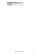*Valid dual function long pressed times* 

| <b>Contents</b> | Long pressed time |
|-----------------|-------------------|
| H'4C'           |                   |
| H'99'           |                   |
|                 |                   |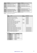| <b>Address</b> | <b>Contents</b>                         | <b>Address</b> | <b>Contents</b>                         |
|----------------|-----------------------------------------|----------------|-----------------------------------------|
| H'0100'        | Linked Push button 1 module address     | H'0101'        | Linked Push button 1 bit number         |
| H'0102'        | Linked Push button 1 action             | H'0103'        | Linked Push button 1 time parameter     |
| H'0104'        | Linked Push button 1 channel parameter  | H'0105'        | Linked Push button 2 module address     |
| H'0106'        | Linked Push button 2 bit number         | H'0107'        | Linked Push button 2 action             |
| H'0108'        | Linked Push button 2 time parameter     | H'0109'        | Linked Push button 2 channel parameter  |
| H'010A'        | $\cdots$                                | H'010B'        | $\cdots$                                |
| $\cdots$       | $\cdots$                                | $\cdots$       | $\cdots$                                |
| $\cdots$       | $\cdots$                                | H'01F5'        | Linked Push button 50 module address    |
| H'01F6'        | Linked Push button 50 bit number        | H'01F7'        | Linked Push button 50 action            |
| H'01F8'        | Linked Push button 50 time parameter    | H'01F9'        | Linked Push button 50 channel parameter |
| H'01FA'        | Linked Push button 51 module address    | H'01FB'        | Linked Push button 51 bit number        |
| H'01FC'        | Linked Push button 51 action            | H'01FD'        | Linked Push button 51 time parameter    |
| H'01FE'        | Linked Push button 51 channel parameter | H'01FF'        | Not used                                |

# **Remark:** Unused locations contain H'FF'

| <b>Action</b>  | <b>Action</b>                                 | <b>Time</b>              | <b>Bit number</b>        |
|----------------|-----------------------------------------------|--------------------------|--------------------------|
| number         |                                               | parameter                |                          |
| $\overline{0}$ | Switch status led indication                  |                          | Channel bit              |
|                | Lock channel at closed switch                 |                          | Channel bit              |
| $\overline{2}$ | Lock channel at opened switch                 |                          | Channel bit              |
| 3              | Lock channel                                  | Timeout                  | Channel bit              |
| $\overline{4}$ | Lock/unlock channel                           | Timeout                  | Channel bit              |
| 5              | Unlock channel                                |                          | Channel bit              |
| 6              | Disable channel program at closed switch      |                          | Channel bit              |
| $\overline{7}$ | Disable channel program at opened switch      |                          | Channel bit              |
| 8              | Disable channel program channel               | Timeout                  | Channel bit              |
| 9              | Disable/enable channel program                | Timeout                  | Channel bit              |
| 10             | Enable channel program                        |                          | Channel bit              |
| 11             | Select no programs                            | ٠                        |                          |
| 12             | Select summer programs                        |                          |                          |
| 13             | Select winter programs                        | $\qquad \qquad -$        | ٠                        |
| 14             | Select holiday programs                       | ٠                        |                          |
| 15             | Enable Alarm/Sunrise/Sunset at closed switch  | $\overline{\phantom{a}}$ | Alarm/sunrise/sunset bit |
| 16             | Enable Alarm/Sunrise/Sunset at open switch    | $\overline{\phantom{a}}$ | Alarm/sunrise/sunset bit |
| 17             | Disable Alarm/Sunrise/Sunset at closed switch | $\overline{a}$           | Alarm/sunrise/sunset bit |
| 18             | Disable Alarm/Sunrise/Sunset at open switch   | $\overline{a}$           | Alarm/sunrise/sunset bit |
| 19             | Enable Alarm/Sunrise/Sunset                   | $\overline{\phantom{a}}$ | Alarm/sunrise/sunset bit |
| 20             | Enable/Disable Alarm/Sunrise/Sunset           | Ē,                       | Alarm/sunrise/sunset bit |
| 21             | Disable Alarm/Sunrise/Sunset                  | ٠                        | Alarm/sunrise/sunset bit |

# Bit Number

| <b>Contents</b> | <b>Bit number</b>    |
|-----------------|----------------------|
| B'00000001'     | Channel 1 or Alarm1  |
| B'00000010'     | Channel 2            |
| B'00000100'     | Channel 3 or Alarm2  |
| B'00001000'     | Channel 4            |
| B'00010000'     | Channel 5 or Sunrise |
| B'00100000'     | Channel 6 or Sunset  |
| B'01000000'     | Channel 7            |
| B'10000000'     | Channel 8            |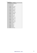Time parameter

| Time parameter   | <b>Timeout</b>  |
|------------------|-----------------|
| $\overline{0}$   | 0s (No timer)   |
| $\mathbf{1}$     | 1s              |
| $\overline{2}$   | 2s              |
|                  |                 |
| 119              | 1min59s         |
| 120              | 2min            |
| 121              | 2min15s         |
| <u></u>          |                 |
| 131              | 4min45s         |
| 132              | 5min            |
| 133              | 5min30s         |
| $\cdots$         |                 |
| 181              | 29min30s        |
| 182              | 30min           |
| 183              | 31min           |
| $\ldots$         |                 |
| $\overline{211}$ | 59min           |
| 212              | 1 <sub>h</sub>  |
| 213              | 1h15min         |
| $\cdots$         |                 |
| 227              | 4h45min         |
| 228              | 5h              |
| 229              | 5h30min         |
| $\cdots$         |                 |
| 237              | 9h30min         |
| 238              | 10 <sub>h</sub> |
| 239              | 11h             |
| $\ldots$         |                 |
| $\overline{251}$ | 23h             |
| 252              | $1\mathrm{d}$   |
| 253              | 2d              |
| 254              | 3d              |
| 255              | infinite        |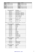| <b>Address</b>    | <b>Contents</b>       | <b>Address</b>   | <b>Contents</b>       |
|-------------------|-----------------------|------------------|-----------------------|
| H'0200'           | Program step 1 byte1  | H'0201'          | Program step 1 byte2  |
| H'0202'           | Program step 1 byte3  | H'0203'          | Program step 1 byte4  |
| H'0204'           | Program step 1 byte5  | H'0205'          | Program step 1 byte6  |
| $\cdot\cdot\cdot$ | $\cdot \cdot$         | $\bullet\bullet$ | $\cdot$               |
| H'03B6'           | Program step 74 byte1 | H'03B7'          | Program step 74 byte2 |
| H'03B8'           | Program step 74 byte3 | H'03B9'          | Program step 74 byte4 |
| H'03BA'           | Program step 74 byte5 | H'03BB'          | Program step 74 byte6 |

| Contents program byte1 | <b>Description</b>                 |  |
|------------------------|------------------------------------|--|
| B'000xxxxx'            | Disable program step               |  |
| B'001xxxxx'            | Absolute time                      |  |
| B'010xxxxx'            | Wake up time $1 +$ relative time   |  |
| B'011xxxxx'            | Go to bed time $1 +$ relative time |  |
| B'100xxxxx'            | Wake up time $2 +$ relative time   |  |
| B'101xxxxx'            | Go to bed time $2 +$ relative time |  |
| B'110xxxxx'            | Sunrise + relative time            |  |
| B'111xxxxx'            | Sunset + relative time             |  |
| B'xxx01111'            | Rel. time $= 3h45$ min             |  |
|                        |                                    |  |
| $B'$ xxx00001'         | Rel. time $= 15$ min               |  |
| $B'$ xxx00000 $'$      | Rel. time $= 0$                    |  |
| $B'$ xxx $11111'$      | Rel. time $= -15$ min              |  |
| .                      |                                    |  |
| $B'$ xxx $10000'$      | Rel. time $= -4h$                  |  |

**Remark:** Wake up, Go to bed, sunrise & sunset time are only allowed for weekly programs

| Contents program byte2 | <b>Description</b> |  |
|------------------------|--------------------|--|
| B'xxxx0000'            | Weekly program     |  |
| B'xxxx0001'            | January            |  |
| B'xxxx0010'            | February           |  |
| B'xxxx0011'            | March              |  |
| B'xxxx0100'            | April              |  |
| B'xxxx0101'            | May                |  |
| B'xxxx0110'            | June               |  |
| B'xxxx0111'            | July               |  |
| B'xxxx1000'            | August             |  |
| B'xxxx1001'            | September          |  |
| B'xxxx1010'            | October            |  |
| B'xxxx1011'            | November           |  |
| B'xxxx1100'            | December           |  |
| B'xxxx1101'            | Monthly program    |  |
| B'xxxx1110'            | Monthly program    |  |
| B'xxxx1111'            | Monthly program    |  |

| Contents program byte3 | <b>Description</b> |
|------------------------|--------------------|
| B'xxx00000'            | 0h                 |
| $B'$ xxx00001'         | 1h                 |
| $\cdots$               | $\cdots$           |
| $B'$ xxx $10111'$      | 23h                |
| B'xx1xxxx'             | Summer program     |
| B'x1xxxxxx'            | Winter program     |
| B'1xxxxxx'             | Holiday program    |

| Contents program byte4 | <b>Description</b> |
|------------------------|--------------------|
| B'xx000000'            | 0 <sub>min</sub>   |
| B'xx000001'            | 1 min              |
| $\cdots$               | $\cdots$           |
| B'xx111011'            | 59 <sub>min</sub>  |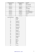| Contents program byte4 | Contents program byte2 | <b>Description</b>       |
|------------------------|------------------------|--------------------------|
| B'00xxxxxx'            | B'0000xxxx'            | Never                    |
| B'00xxxxx'             | B'0001xxxx'            | Day 1of the month        |
| B'00xxxxx'             | B'0010xxxx'            | Day 2of the month        |
| $\cdots$               | $\cdots$               | .                        |
| B'01xxxxxx'            | B'1111xxx'             | Day 31 of the month      |
| B'10xxxxxx'            | B'0000xxxx'            | Never                    |
| B'10xxxxxx'            | B'0001xxxx'            | Every Monday             |
| B'10xxxxxx'            | B'0010xxxx'            | <b>Every Tuesday</b>     |
| $\cdots$               | $\cdots$               | $\cdots$                 |
| B'10xxxxxx'            | B'0111xxxx'            | <b>Every Sunday</b>      |
| B'10xxxxx'             | B'1000xxxx'            | Every weekend (sa & su)  |
| B'10xxxxxx'            | B'1001xxxx'            | Every working day (mofr) |
| B'10xxxxxx'            | B'1010xxxx'            | Every day except Sunday  |
| B'10xxxxx'             | B'1011xxxx'            | Every day                |
| B'10xxxxxx'            | B'1100xxxx'            | Never                    |
| $\cdots$               | $\cdots$               | $\cdots$                 |
| B'11xxxxxx'            | B'1111xxxx'            | Never                    |

| Contents program byte5 | <b>Action</b>              |
|------------------------|----------------------------|
| $\boldsymbol{0}$       | 0s25 Pulse                 |
| $\overline{1}$         | 1s Pulse                   |
| $\overline{2}$         | 2s Pulse                   |
|                        | $\cdots$                   |
| 119                    | 1min59s Pulse              |
| 120                    | 2min Pulse                 |
| 121                    | 2min15s Pulse              |
| $\ddotsc$              | $\cdots$                   |
| 131                    | 4min45s Pulse              |
| 132                    | 5min Pulse                 |
| 133                    | 5min30s Pulse              |
| $\cdots$               | $\cdots$                   |
| 181                    | 29min30s Pulse             |
| 182                    | 30min Pulse                |
| 183                    | $\overline{3}$ 1 min Pulse |
| $\cdots$               |                            |
| 211                    | 59min Pulse                |
| 212                    | 1h Pulse                   |
| 213                    | $\overline{1h}15min$ Pulse |
| $\cdots$               |                            |
| 227                    | 4h45min Pulse              |
| 228                    | 5h Pulse                   |
| 229                    | 5h30min Pulse              |
| $\cdots$               | $\cdots$                   |
| 237                    | 9h30min Pulse              |
| 238                    | 10h Pulse                  |
| 239                    | 11h Pulse                  |
| $\cdots$               | $\cdots$                   |
| 246                    | 18h Pulse                  |
| 247                    | Press                      |
| 248                    | Long Press                 |
| 249                    | Release                    |
| 250                    | Lock                       |
| 251                    | Unlock                     |
| 252                    | No action                  |
| $\ldots$               | $\cdots$                   |
| 255                    | No action                  |
|                        |                            |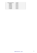| Contents program byte6 | <b>Channel</b> |
|------------------------|----------------|
| B'00000001'            | Channel 1      |
| B'00000010'            | Channel 2      |
| B'00000100'            | Channel 3      |
| B'00001000'            | Channel 4      |
| B'00010000'            | Channel 5      |
| B'00100000'            | Channel 6      |
| B'01000000'            | Channel 7      |
| B'10000000'            | Channel 8      |